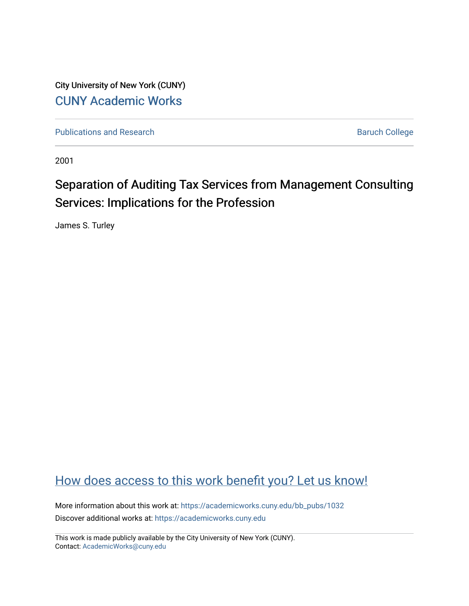City University of New York (CUNY) [CUNY Academic Works](https://academicworks.cuny.edu/) 

[Publications and Research](https://academicworks.cuny.edu/bb_pubs) **Baruch College** Baruch College

2001

# Separation of Auditing Tax Services from Management Consulting Services: Implications for the Profession

James S. Turley

## [How does access to this work benefit you? Let us know!](http://ols.cuny.edu/academicworks/?ref=https://academicworks.cuny.edu/bb_pubs/1032)

More information about this work at: [https://academicworks.cuny.edu/bb\\_pubs/1032](https://academicworks.cuny.edu/bb_pubs/1032) Discover additional works at: [https://academicworks.cuny.edu](https://academicworks.cuny.edu/?)

This work is made publicly available by the City University of New York (CUNY). Contact: [AcademicWorks@cuny.edu](mailto:AcademicWorks@cuny.edu)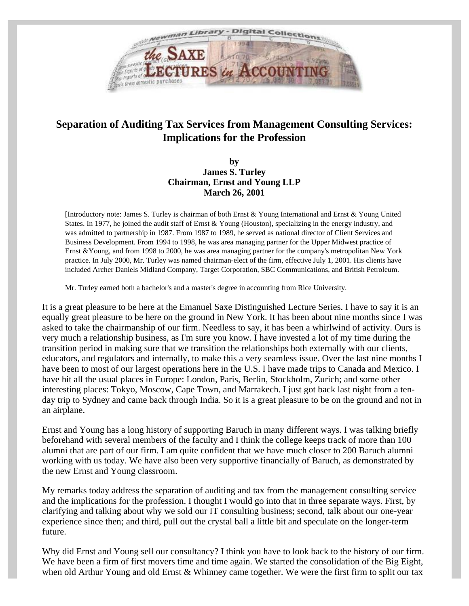

## **Separation of Auditing Tax Services from Management Consulting Services: Implications for the Profession**

#### **by James S. Turley Chairman, Ernst and Young LLP March 26, 2001**

[Introductory note: James S. Turley is chairman of both Ernst & Young International and Ernst & Young United States. In 1977, he joined the audit staff of Ernst & Young (Houston), specializing in the energy industry, and was admitted to partnership in 1987. From 1987 to 1989, he served as national director of Client Services and Business Development. From 1994 to 1998, he was area managing partner for the Upper Midwest practice of Ernst &Young, and from 1998 to 2000, he was area managing partner for the company's metropolitan New York practice. In July 2000, Mr. Turley was named chairman-elect of the firm, effective July 1, 2001. His clients have included Archer Daniels Midland Company, Target Corporation, SBC Communications, and British Petroleum.

Mr. Turley earned both a bachelor's and a master's degree in accounting from Rice University.

It is a great pleasure to be here at the Emanuel Saxe Distinguished Lecture Series. I have to say it is an equally great pleasure to be here on the ground in New York. It has been about nine months since I was asked to take the chairmanship of our firm. Needless to say, it has been a whirlwind of activity. Ours is very much a relationship business, as I'm sure you know. I have invested a lot of my time during the transition period in making sure that we transition the relationships both externally with our clients, educators, and regulators and internally, to make this a very seamless issue. Over the last nine months I have been to most of our largest operations here in the U.S. I have made trips to Canada and Mexico. I have hit all the usual places in Europe: London, Paris, Berlin, Stockholm, Zurich; and some other interesting places: Tokyo, Moscow, Cape Town, and Marrakech. I just got back last night from a tenday trip to Sydney and came back through India. So it is a great pleasure to be on the ground and not in an airplane.

Ernst and Young has a long history of supporting Baruch in many different ways. I was talking briefly beforehand with several members of the faculty and I think the college keeps track of more than 100 alumni that are part of our firm. I am quite confident that we have much closer to 200 Baruch alumni working with us today. We have also been very supportive financially of Baruch, as demonstrated by the new Ernst and Young classroom.

My remarks today address the separation of auditing and tax from the management consulting service and the implications for the profession. I thought I would go into that in three separate ways. First, by clarifying and talking about why we sold our IT consulting business; second, talk about our one-year experience since then; and third, pull out the crystal ball a little bit and speculate on the longer-term future.

Why did Ernst and Young sell our consultancy? I think you have to look back to the history of our firm. We have been a firm of first movers time and time again. We started the consolidation of the Big Eight, when old Arthur Young and old Ernst & Whinney came together. We were the first firm to split our tax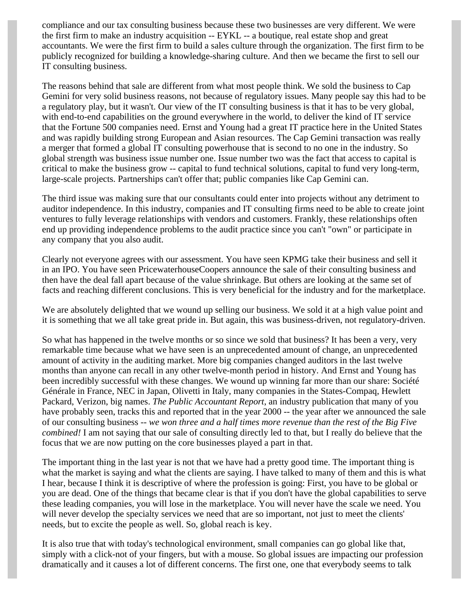compliance and our tax consulting business because these two businesses are very different. We were the first firm to make an industry acquisition -- EYKL -- a boutique, real estate shop and great accountants. We were the first firm to build a sales culture through the organization. The first firm to be publicly recognized for building a knowledge-sharing culture. And then we became the first to sell our IT consulting business.

The reasons behind that sale are different from what most people think. We sold the business to Cap Gemini for very solid business reasons, not because of regulatory issues. Many people say this had to be a regulatory play, but it wasn't. Our view of the IT consulting business is that it has to be very global, with end-to-end capabilities on the ground everywhere in the world, to deliver the kind of IT service that the Fortune 500 companies need. Ernst and Young had a great IT practice here in the United States and was rapidly building strong European and Asian resources. The Cap Gemini transaction was really a merger that formed a global IT consulting powerhouse that is second to no one in the industry. So global strength was business issue number one. Issue number two was the fact that access to capital is critical to make the business grow -- capital to fund technical solutions, capital to fund very long-term, large-scale projects. Partnerships can't offer that; public companies like Cap Gemini can.

The third issue was making sure that our consultants could enter into projects without any detriment to auditor independence. In this industry, companies and IT consulting firms need to be able to create joint ventures to fully leverage relationships with vendors and customers. Frankly, these relationships often end up providing independence problems to the audit practice since you can't "own" or participate in any company that you also audit.

Clearly not everyone agrees with our assessment. You have seen KPMG take their business and sell it in an IPO. You have seen PricewaterhouseCoopers announce the sale of their consulting business and then have the deal fall apart because of the value shrinkage. But others are looking at the same set of facts and reaching different conclusions. This is very beneficial for the industry and for the marketplace.

We are absolutely delighted that we wound up selling our business. We sold it at a high value point and it is something that we all take great pride in. But again, this was business-driven, not regulatory-driven.

So what has happened in the twelve months or so since we sold that business? It has been a very, very remarkable time because what we have seen is an unprecedented amount of change, an unprecedented amount of activity in the auditing market. More big companies changed auditors in the last twelve months than anyone can recall in any other twelve-month period in history. And Ernst and Young has been incredibly successful with these changes. We wound up winning far more than our share: Société Générale in France, NEC in Japan, Olivetti in Italy, many companies in the States-Compaq, Hewlett Packard, Verizon, big names. *The Public Accountant Report*, an industry publication that many of you have probably seen, tracks this and reported that in the year 2000 -- the year after we announced the sale of our consulting business -- *we won three and a half times more revenue than the rest of the Big Five combined!* I am not saying that our sale of consulting directly led to that, but I really do believe that the focus that we are now putting on the core businesses played a part in that.

The important thing in the last year is not that we have had a pretty good time. The important thing is what the market is saying and what the clients are saying. I have talked to many of them and this is what I hear, because I think it is descriptive of where the profession is going: First, you have to be global or you are dead. One of the things that became clear is that if you don't have the global capabilities to serve these leading companies, you will lose in the marketplace. You will never have the scale we need. You will never develop the specialty services we need that are so important, not just to meet the clients' needs, but to excite the people as well. So, global reach is key.

It is also true that with today's technological environment, small companies can go global like that, simply with a click-not of your fingers, but with a mouse. So global issues are impacting our profession dramatically and it causes a lot of different concerns. The first one, one that everybody seems to talk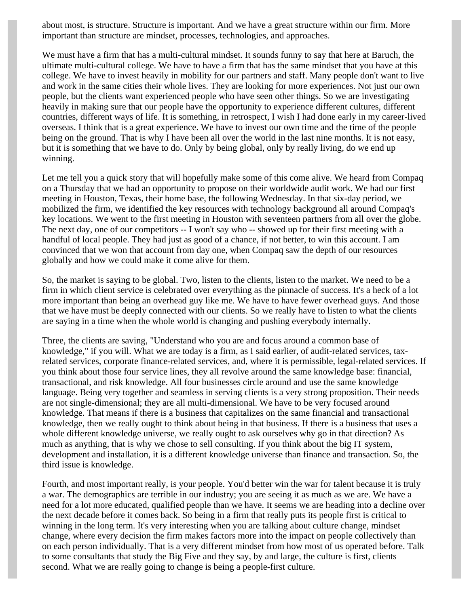about most, is structure. Structure is important. And we have a great structure within our firm. More important than structure are mindset, processes, technologies, and approaches.

We must have a firm that has a multi-cultural mindset. It sounds funny to say that here at Baruch, the ultimate multi-cultural college. We have to have a firm that has the same mindset that you have at this college. We have to invest heavily in mobility for our partners and staff. Many people don't want to live and work in the same cities their whole lives. They are looking for more experiences. Not just our own people, but the clients want experienced people who have seen other things. So we are investigating heavily in making sure that our people have the opportunity to experience different cultures, different countries, different ways of life. It is something, in retrospect, I wish I had done early in my career-lived overseas. I think that is a great experience. We have to invest our own time and the time of the people being on the ground. That is why I have been all over the world in the last nine months. It is not easy, but it is something that we have to do. Only by being global, only by really living, do we end up winning.

Let me tell you a quick story that will hopefully make some of this come alive. We heard from Compaq on a Thursday that we had an opportunity to propose on their worldwide audit work. We had our first meeting in Houston, Texas, their home base, the following Wednesday. In that six-day period, we mobilized the firm, we identified the key resources with technology background all around Compaq's key locations. We went to the first meeting in Houston with seventeen partners from all over the globe. The next day, one of our competitors -- I won't say who -- showed up for their first meeting with a handful of local people. They had just as good of a chance, if not better, to win this account. I am convinced that we won that account from day one, when Compaq saw the depth of our resources globally and how we could make it come alive for them.

So, the market is saying to be global. Two, listen to the clients, listen to the market. We need to be a firm in which client service is celebrated over everything as the pinnacle of success. It's a heck of a lot more important than being an overhead guy like me. We have to have fewer overhead guys. And those that we have must be deeply connected with our clients. So we really have to listen to what the clients are saying in a time when the whole world is changing and pushing everybody internally.

Three, the clients are saving, "Understand who you are and focus around a common base of knowledge," if you will. What we are today is a firm, as I said earlier, of audit-related services, taxrelated services, corporate finance-related services, and, where it is permissible, legal-related services. If you think about those four service lines, they all revolve around the same knowledge base: financial, transactional, and risk knowledge. All four businesses circle around and use the same knowledge language. Being very together and seamless in serving clients is a very strong proposition. Their needs are not single-dimensional; they are all multi-dimensional. We have to be very focused around knowledge. That means if there is a business that capitalizes on the same financial and transactional knowledge, then we really ought to think about being in that business. If there is a business that uses a whole different knowledge universe, we really ought to ask ourselves why go in that direction? As much as anything, that is why we chose to sell consulting. If you think about the big IT system, development and installation, it is a different knowledge universe than finance and transaction. So, the third issue is knowledge.

Fourth, and most important really, is your people. You'd better win the war for talent because it is truly a war. The demographics are terrible in our industry; you are seeing it as much as we are. We have a need for a lot more educated, qualified people than we have. It seems we are heading into a decline over the next decade before it comes back. So being in a firm that really puts its people first is critical to winning in the long term. It's very interesting when you are talking about culture change, mindset change, where every decision the firm makes factors more into the impact on people collectively than on each person individually. That is a very different mindset from how most of us operated before. Talk to some consultants that study the Big Five and they say, by and large, the culture is first, clients second. What we are really going to change is being a people-first culture.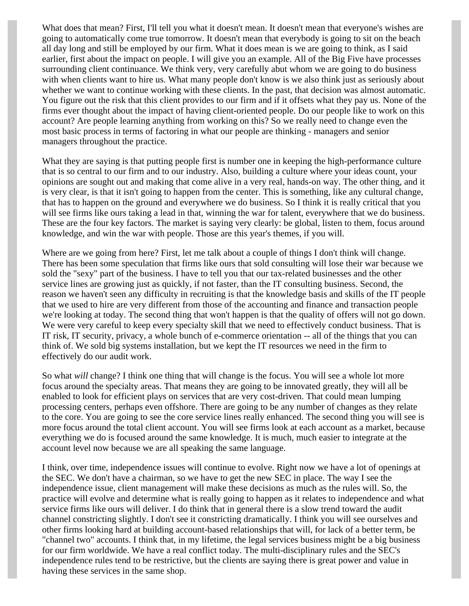What does that mean? First, I'll tell you what it doesn't mean. It doesn't mean that everyone's wishes are going to automatically come true tomorrow. It doesn't mean that everybody is going to sit on the beach all day long and still be employed by our firm. What it does mean is we are going to think, as I said earlier, first about the impact on people. I will give you an example. All of the Big Five have processes surrounding client continuance. We think very, very carefully abut whom we are going to do business with when clients want to hire us. What many people don't know is we also think just as seriously about whether we want to continue working with these clients. In the past, that decision was almost automatic. You figure out the risk that this client provides to our firm and if it offsets what they pay us. None of the firms ever thought about the impact of having client-oriented people. Do our people like to work on this account? Are people learning anything from working on this? So we really need to change even the most basic process in terms of factoring in what our people are thinking - managers and senior managers throughout the practice.

What they are saying is that putting people first is number one in keeping the high-performance culture that is so central to our firm and to our industry. Also, building a culture where your ideas count, your opinions are sought out and making that come alive in a very real, hands-on way. The other thing, and it is very clear, is that it isn't going to happen from the center. This is something, like any cultural change, that has to happen on the ground and everywhere we do business. So I think it is really critical that you will see firms like ours taking a lead in that, winning the war for talent, everywhere that we do business. These are the four key factors. The market is saying very clearly: be global, listen to them, focus around knowledge, and win the war with people. Those are this year's themes, if you will.

Where are we going from here? First, let me talk about a couple of things I don't think will change. There has been some speculation that firms like ours that sold consulting will lose their war because we sold the "sexy" part of the business. I have to tell you that our tax-related businesses and the other service lines are growing just as quickly, if not faster, than the IT consulting business. Second, the reason we haven't seen any difficulty in recruiting is that the knowledge basis and skills of the IT people that we used to hire are very different from those of the accounting and finance and transaction people we're looking at today. The second thing that won't happen is that the quality of offers will not go down. We were very careful to keep every specialty skill that we need to effectively conduct business. That is IT risk, IT security, privacy, a whole bunch of e-commerce orientation -- all of the things that you can think of. We sold big systems installation, but we kept the IT resources we need in the firm to effectively do our audit work.

So what *will* change? I think one thing that will change is the focus. You will see a whole lot more focus around the specialty areas. That means they are going to be innovated greatly, they will all be enabled to look for efficient plays on services that are very cost-driven. That could mean lumping processing centers, perhaps even offshore. There are going to be any number of changes as they relate to the core. You are going to see the core service lines really enhanced. The second thing you will see is more focus around the total client account. You will see firms look at each account as a market, because everything we do is focused around the same knowledge. It is much, much easier to integrate at the account level now because we are all speaking the same language.

I think, over time, independence issues will continue to evolve. Right now we have a lot of openings at the SEC. We don't have a chairman, so we have to get the new SEC in place. The way I see the independence issue, client management will make these decisions as much as the rules will. So, the practice will evolve and determine what is really going to happen as it relates to independence and what service firms like ours will deliver. I do think that in general there is a slow trend toward the audit channel constricting slightly. I don't see it constricting dramatically. I think you will see ourselves and other firms looking hard at building account-based relationships that will, for lack of a better term, be "channel two" accounts. I think that, in my lifetime, the legal services business might be a big business for our firm worldwide. We have a real conflict today. The multi-disciplinary rules and the SEC's independence rules tend to be restrictive, but the clients are saying there is great power and value in having these services in the same shop.